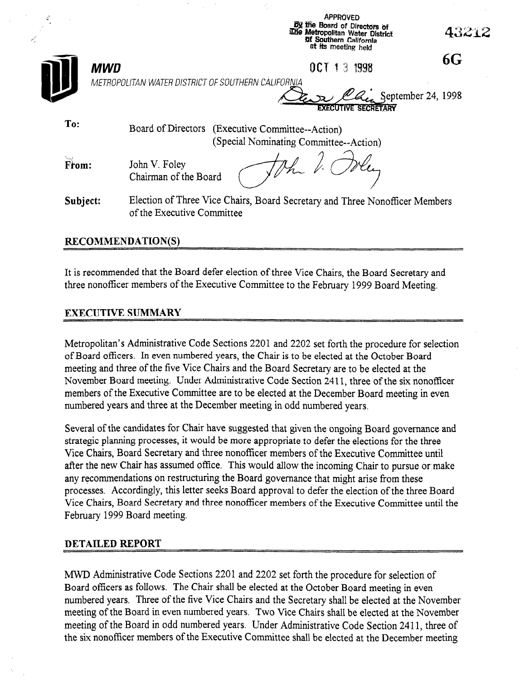| $\mathcal{L}$ |                                                    | <b>APPROVED</b><br><b>By the Board of Directors of</b><br>The Metropolitan Water District<br>of Southern California<br>at its meeting held | 43212 |
|---------------|----------------------------------------------------|--------------------------------------------------------------------------------------------------------------------------------------------|-------|
|               | <b>MWD</b>                                         | 0C<br>1998<br>3                                                                                                                            | 6G    |
|               | METROPOLITAN WATER DISTRICT OF SOUTHERN CALIFORNIA | Ca September 24, 1998<br><b>EXECUTIVE SECRETARY</b>                                                                                        |       |
| To:           | Board of Directors (Executive Committee--Action)   | (Special Nominating Committee--Action)                                                                                                     |       |
| From:         | John V. Foley<br>Chairman of the Board             |                                                                                                                                            |       |
| Subject:      | of the Executive Committee                         | Election of Three Vice Chairs, Board Secretary and Three Nonofficer Members                                                                |       |

## RECOMMENDATION(S)

أشهر

It is recommended that the Board defer election of three Vice Chairs, the Board Secretary and three nonofficer members of the Executive Committee to the February 1999 Board Meeting,

## EXECUTIVE SUMMARY

Metropolitan's Administrative Code Sections 2201 and 2202 set forth the procedure for selection of Board officers. In even numbered years, the Chair is to be elected at the October Board meeting and three of the five Vice Chairs and the Board Secretary are to be elected at the november Board meeting. Under Administrative Code Section 2411, the six nonmovember Board meeting. Onder reduniasticative Code Section 2411, three of the SIX honorities members of the Executive Committee are to be elected at the December Board meeting in even<br>numbered years and three at the December meeting in odd numbered years.

Several of the candidates for Chair have suggested that given the ongoing Board governance and several of the candidates for chan have suggested that given the ongoing board governance strategic planning processes, it would be more appropriate to defer the elections for the three Vice Chairs. Board Secretary and three nonofficer members of the Executive Committee until after the new Chair has assumed office. This would allow the incoming Chair to pursue or make anv recommendations on restructuring the Board governance that might arise from these processes. Accordingly, this letter seeks Board approval to defer the election of the three Board Vice Chairs, Board Secretary and three nonofficer members of the Executive Committee until the February 1999 Board meeting.

## **DETAILED REPORT**

MWD Administrative Code Sections 2201 and 2202 set forth the procedure for selection of Board officers as follows. The Chair shall be elected at the October Board meeting in even numbered vears. Three of the five Vice Chairs and the Secretary shall be elected at the November meeting of the Board in even numbered years. Two Vice Chairs shall be elected at the November meeting of the Board in odd numbered years. Under Administrative Code Section 2411, three of the six nonofficer members of the Executive Committee shall be elected at the December meeting